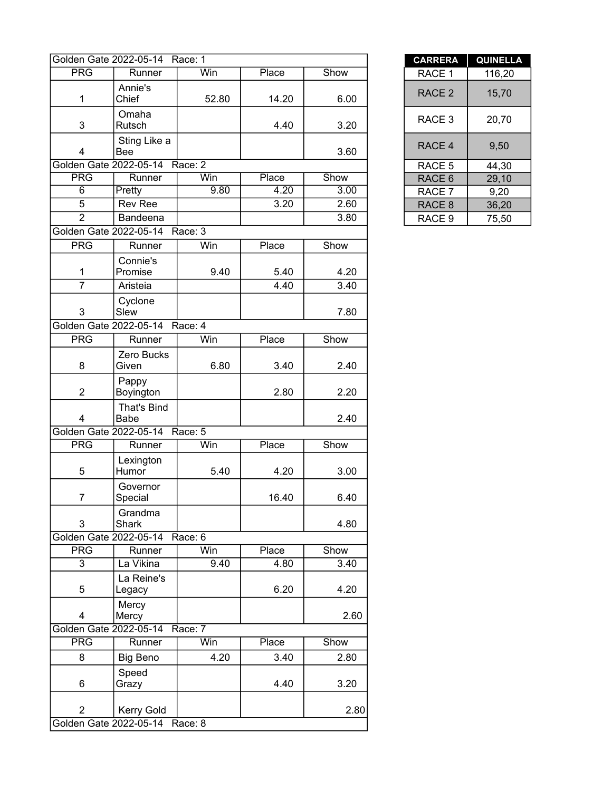|                         | Golden Gate 2022-05-14 Race: 1 |           |       |      | <b>CARRERA</b>    | <b>QUINELL</b> |
|-------------------------|--------------------------------|-----------|-------|------|-------------------|----------------|
| PRG                     | Runner                         | Win       | Place | Show | RACE 1            | 116,20         |
| 1                       | Annie's<br>Chief               | 52.80     | 14.20 | 6.00 | RACE <sub>2</sub> | 15,70          |
| 3                       | Omaha<br>Rutsch                |           | 4.40  | 3.20 | RACE 3            | 20,70          |
| 4                       | Sting Like a<br><b>Bee</b>     |           |       | 3.60 | RACE 4            | 9,50           |
| Golden Gate 2022-05-14  |                                | Race: 2   |       |      | RACE 5            | 44,30          |
| <b>PRG</b>              | Runner                         | Win       | Place | Show | RACE 6            | 29,10          |
| $\overline{6}$          | Pretty                         | 9.80      | 4.20  | 3.00 | RACE 7            | 9,20           |
| 5                       | <b>Rev Ree</b>                 |           | 3.20  | 2.60 | RACE 8            | 36,20          |
| $\overline{2}$          | Bandeena                       |           |       | 3.80 | RACE 9            | 75,50          |
| Golden Gate 2022-05-14  |                                | Race: 3   |       |      |                   |                |
| <b>PRG</b>              | Runner                         | Win       | Place | Show |                   |                |
| $\mathbf{1}$            | Connie's<br>Promise            | 9.40      | 5.40  | 4.20 |                   |                |
| $\overline{7}$          | Aristeia                       |           | 4.40  | 3.40 |                   |                |
| 3                       | Cyclone<br>Slew                |           |       | 7.80 |                   |                |
|                         | Golden Gate 2022-05-14         | Race: 4   |       |      |                   |                |
| <b>PRG</b>              | Runner                         | Win       | Place | Show |                   |                |
| 8                       | Zero Bucks<br>Given            | 6.80      | 3.40  | 2.40 |                   |                |
| $\overline{2}$          | Pappy<br>Boyington             |           | 2.80  | 2.20 |                   |                |
| $\overline{\mathbf{4}}$ | That's Bind<br>Babe            |           |       | 2.40 |                   |                |
|                         | Golden Gate 2022-05-14         | Race: $5$ |       |      |                   |                |
| <b>PRG</b>              | Runner                         | Win       | Place | Show |                   |                |
| 5                       | Lexington<br>Humor             | 5.40      | 4.20  | 3.00 |                   |                |
| $\overline{7}$          | Governor<br>Special            |           | 16.40 | 6.40 |                   |                |
| 3                       | Grandma<br>Shark               |           |       | 4.80 |                   |                |
| Golden Gate 2022-05-14  |                                | Race: 6   |       |      |                   |                |
| <b>PRG</b>              | Runner                         | Win       | Place | Show |                   |                |
| $\overline{3}$          | La Vikina                      | 9.40      | 4.80  | 3.40 |                   |                |
| 5                       | La Reine's<br>Legacy           |           | 6.20  | 4.20 |                   |                |
| 4                       | Mercy<br>Mercy                 |           |       | 2.60 |                   |                |
| Golden Gate 2022-05-14  |                                | Race: 7   |       |      |                   |                |
| <b>PRG</b>              | Runner                         | Win       | Place | Show |                   |                |
| 8                       | <b>Big Beno</b>                | 4.20      | 3.40  | 2.80 |                   |                |
| 6                       | Speed<br>Grazy                 |           | 4.40  | 3.20 |                   |                |
| $\overline{2}$          | Kerry Gold                     |           |       | 2.80 |                   |                |
|                         | Golden Gate 2022-05-14 Race: 8 |           |       |      |                   |                |

| <b>CARRERA</b>    | <b>QUINELLA</b> |
|-------------------|-----------------|
| RACE 1            | 116,20          |
| RACE <sub>2</sub> | 15,70           |
| RACE 3            | 20,70           |
| RACE <sub>4</sub> | 9.50            |
| RACE <sub>5</sub> | 44.30           |
| RACE <sub>6</sub> | 29,10           |
| RACE 7            | 9,20            |
| RACE <sub>8</sub> | 36,20           |
| RACE 9            | 75,50           |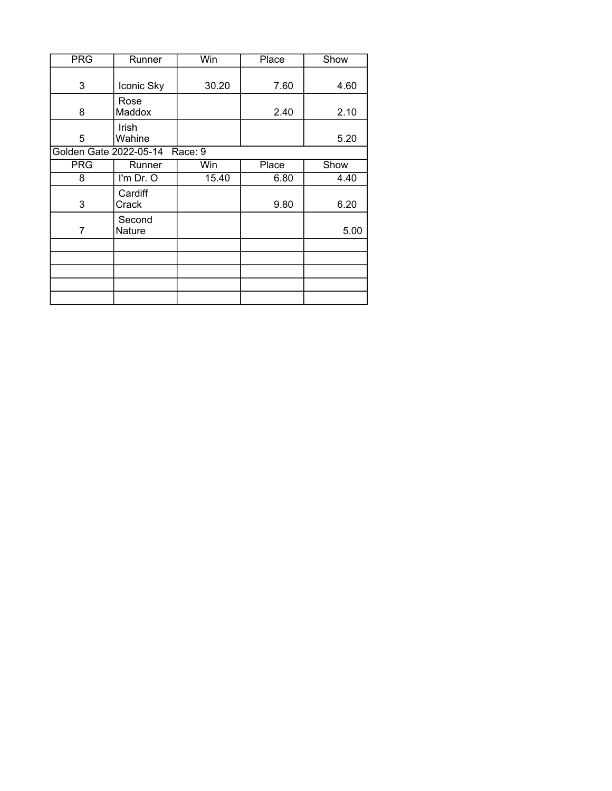| <b>PRG</b>             | Runner           | Win     | Place | Show |
|------------------------|------------------|---------|-------|------|
| 3                      | Iconic Sky       | 30.20   | 7.60  | 4.60 |
| 8                      | Rose<br>Maddox   |         | 2.40  | 2.10 |
| 5                      | Irish<br>Wahine  |         |       | 5.20 |
| Golden Gate 2022-05-14 |                  | Race: 9 |       |      |
| <b>PRG</b>             | Runner           | Win     | Place | Show |
| 8                      | I'm Dr. O        | 15.40   | 6.80  | 4.40 |
| 3                      | Cardiff<br>Crack |         | 9.80  | 6.20 |
| 7                      | Second<br>Nature |         |       | 5.00 |
|                        |                  |         |       |      |
|                        |                  |         |       |      |
|                        |                  |         |       |      |
|                        |                  |         |       |      |
|                        |                  |         |       |      |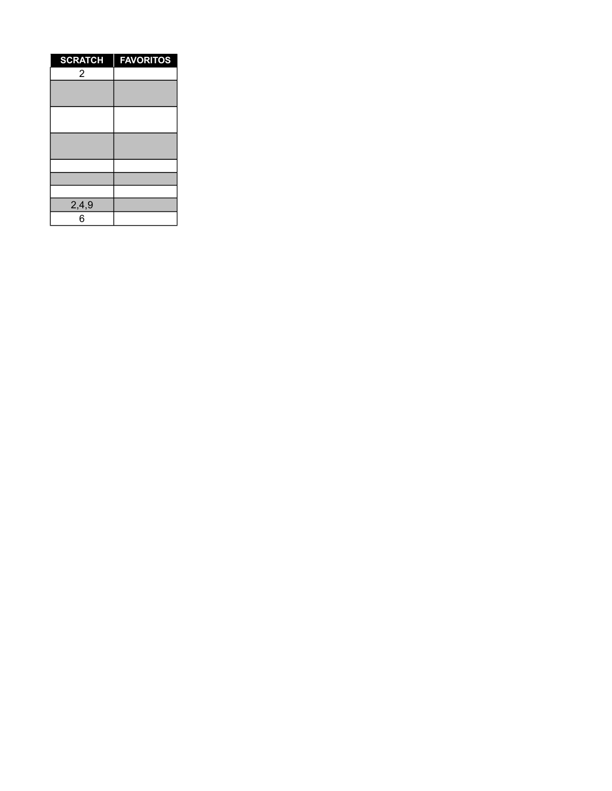| <b>SCRATCH</b> | <b>FAVORITOS</b> |
|----------------|------------------|
| $\overline{2}$ |                  |
|                |                  |
|                |                  |
|                |                  |
|                |                  |
|                |                  |
|                |                  |
|                |                  |
|                |                  |
|                |                  |
| 2,4,9          |                  |
| 6              |                  |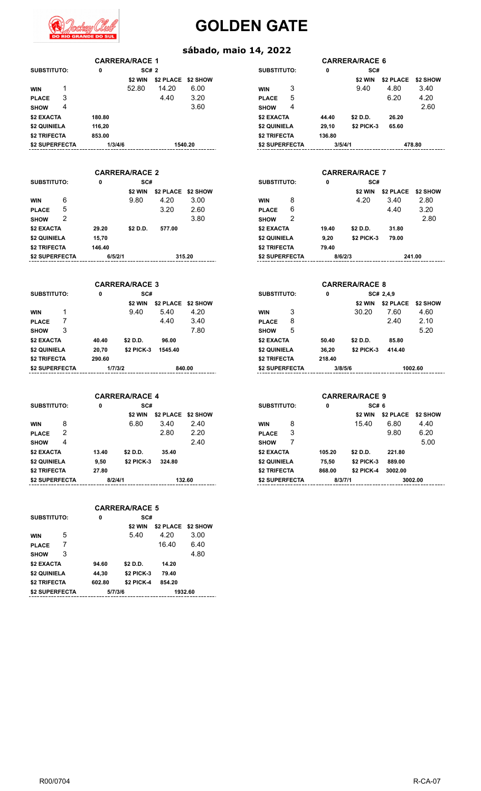

## **GOLDEN GATE**

## **sábado, maio 14, 2022**

| <b>SUBSTITUTO:</b> |   | 0       | SC# 2                 |           |          | <b>SUBSTITUTO:</b> | 0       | SC#                   |           |        |
|--------------------|---|---------|-----------------------|-----------|----------|--------------------|---------|-----------------------|-----------|--------|
|                    |   |         | \$2 WIN               | \$2 PLACE | \$2 SHOW |                    |         | \$2 WIN               | \$2 PLACE | \$2    |
| <b>WIN</b>         |   |         | 52.80                 | 14.20     | 6.00     | 3<br><b>WIN</b>    |         | 9.40                  | 4.80      |        |
| <b>PLACE</b>       | 3 |         |                       | 4.40      | 3.20     | 5<br><b>PLACE</b>  |         |                       | 6.20      |        |
| <b>SHOW</b>        | 4 |         |                       |           | 3.60     | 4<br><b>SHOW</b>   |         |                       |           |        |
| \$2 EXACTA         |   | 180.80  |                       |           |          | \$2 EXACTA         | 44.40   | \$2 D.D.              | 26.20     |        |
| \$2 QUINIELA       |   | 116,20  |                       |           |          | \$2 QUINIELA       | 29,10   | <b>\$2 PICK-3</b>     | 65.60     |        |
| \$2 TRIFECTA       |   | 853.00  |                       |           |          | \$2 TRIFECTA       | 136.80  |                       |           |        |
| \$2 SUPERFECTA     |   | 1/3/4/6 |                       |           | 1540.20  | \$2 SUPERFECTA     | 3/5/4/1 |                       |           | 478.80 |
|                    |   |         | <b>CARRERA/RACE 2</b> |           |          |                    |         | <b>CARRERA/RACE 7</b> |           |        |
| <b>SUBSTITUTO:</b> |   | 0       | SC#                   |           |          | <b>SUBSTITUTO:</b> | 0       | SC#                   |           |        |
|                    |   |         | \$2 WIN               | \$2 PLACE | \$2 SHOW |                    |         | \$2 WIN               | \$2 PLACE | \$2    |
| <b>WIN</b>         | 6 |         | 9.80                  | 4.20      | 3.00     | 8<br><b>WIN</b>    |         | 4.20                  | 3.40      |        |
| <b>PLACE</b>       | 5 |         |                       | 3.20      | 2.60     | 6<br><b>PLACE</b>  |         |                       | 4.40      |        |
| <b>SHOW</b>        | 2 |         |                       |           | 3.80     | 2<br><b>SHOW</b>   |         |                       |           |        |
| \$2 EXACTA         |   | 29.20   | \$2 D.D.              | 577.00    |          | \$2 EXACTA         | 19.40   | \$2 D.D.              | 31.80     |        |
| \$2 QUINIELA       |   | 15,70   |                       |           |          | \$2 QUINIELA       | 9,20    | <b>\$2 PICK-3</b>     | 79.00     |        |
| \$2 TRIFECTA       |   | 146.40  |                       |           |          | \$2 TRIFECTA       | 79.40   |                       |           |        |
| \$2 SUPERFECTA     |   | 6/5/2/1 |                       |           | 315.20   | \$2 SUPERFECTA     | 8/6/2/3 |                       |           | 241.00 |

**CARRERA/RACE 1 CARRERA/RACE 6**

| <b>VRACE 1</b> |      |                               |   |                                                                             |                   |           |                              |
|----------------|------|-------------------------------|---|-----------------------------------------------------------------------------|-------------------|-----------|------------------------------|
| <b>SC# 2</b>   |      |                               |   | 0                                                                           |                   |           |                              |
|                |      |                               |   |                                                                             | \$2 WIN           | \$2 PLACE | \$2 SHOW                     |
| 14.20          | 6.00 | <b>WIN</b>                    | 3 |                                                                             | 9.40              | 4.80      | 3.40                         |
| 4.40           | 3.20 | <b>PLACE</b>                  | 5 |                                                                             |                   | 6.20      | 4.20                         |
|                | 3.60 | <b>SHOW</b>                   | 4 |                                                                             |                   |           | 2.60                         |
|                |      |                               |   | 44.40                                                                       | \$2 D.D.          | 26.20     |                              |
|                |      |                               |   | 29,10                                                                       | <b>\$2 PICK-3</b> | 65.60     |                              |
|                |      |                               |   | 136.80                                                                      |                   |           |                              |
|                |      |                               |   |                                                                             |                   |           | 478.80                       |
|                |      | \$2 PLACE \$2 SHOW<br>1540.20 |   | SUBSTITUTO:<br>\$2 EXACTA<br>\$2 QUINIELA<br>\$2 TRIFECTA<br>\$2 SUPERFECTA |                   | 3/5/4/1   | <b>CARRERA/RACE 6</b><br>SC# |

| /RACE 2  |                    |        |                    |   |         | <b>CARRERA/RACE 7</b> |           |                 |
|----------|--------------------|--------|--------------------|---|---------|-----------------------|-----------|-----------------|
| SC#      |                    |        | <b>SUBSTITUTO:</b> |   | 0       | SC#                   |           |                 |
| \$2 WIN  | \$2 PLACE \$2 SHOW |        |                    |   |         | \$2 WIN               | \$2 PLACE | <b>\$2 SHOW</b> |
| 9.80     | 4.20               | 3.00   | <b>WIN</b>         | 8 |         | 4.20                  | 3.40      | 2.80            |
|          | 3.20               | 2.60   | <b>PLACE</b>       | 6 |         |                       | 4.40      | 3.20            |
|          |                    | 3.80   | <b>SHOW</b>        | 2 |         |                       |           | 2.80            |
| \$2 D.D. | 577.00             |        | \$2 EXACTA         |   | 19.40   | \$2 D.D.              | 31.80     |                 |
|          |                    |        | \$2 QUINIELA       |   | 9.20    | <b>\$2 PICK-3</b>     | 79.00     |                 |
|          |                    |        | \$2 TRIFECTA       |   | 79.40   |                       |           |                 |
|          |                    | 315.20 | \$2 SUPERFECTA     |   | 8/6/2/3 |                       |           | 241.00          |
|          |                    |        |                    |   |         |                       |           |                 |

|         | <b>CARRERA/RACE 3</b> |                  |          | <b>CARRERA/RACE 8</b> |   |         |                   |           |          |  |  |
|---------|-----------------------|------------------|----------|-----------------------|---|---------|-------------------|-----------|----------|--|--|
| 0       | SC#                   |                  |          | <b>SUBSTITUTO:</b>    |   | 0       | SC# 2,4,9         |           |          |  |  |
|         | \$2 WIN               | <b>\$2 PLACE</b> | \$2 SHOW |                       |   |         | \$2 WIN           | \$2 PLACE | \$2 SHOW |  |  |
|         | 9.40                  | 5.40             | 4.20     | <b>WIN</b>            | 3 |         | 30.20             | 7.60      | 4.60     |  |  |
|         |                       | 4.40             | 3.40     | <b>PLACE</b>          | 8 |         |                   | 2.40      | 2.10     |  |  |
|         |                       |                  | 7.80     | <b>SHOW</b>           | 5 |         |                   |           | 5.20     |  |  |
| 10.40   | \$2 D.D.              | 96.00            |          | \$2 EXACTA            |   | 50.40   | \$2 D.D.          | 85.80     |          |  |  |
| 20.70   | <b>\$2 PICK-3</b>     | 1545.40          |          | \$2 QUINIELA          |   | 36,20   | <b>\$2 PICK-3</b> | 414.40    |          |  |  |
| 90.60   |                       |                  |          | \$2 TRIFECTA          |   | 218.40  |                   |           |          |  |  |
| 1/7/3/2 |                       |                  | 840.00   | \$2 SUPERFECTA        |   | 3/8/5/6 |                   |           | 1002.60  |  |  |

|       | 1/7/3/2               |                    | 840.00 | \$2 SUPERFECTA      |   | 3/8/5/6 |                       |           | 1002.60  |
|-------|-----------------------|--------------------|--------|---------------------|---|---------|-----------------------|-----------|----------|
|       | <b>CARRERA/RACE 4</b> |                    |        |                     |   |         | <b>CARRERA/RACE 9</b> |           |          |
| 0     | SC#                   |                    |        | <b>SUBSTITUTO:</b>  |   | 0       | SC# 6                 |           |          |
|       | \$2 WIN               | \$2 PLACE \$2 SHOW |        |                     |   |         | \$2 WIN               | \$2 PLACE | \$2 SHOW |
|       | 6.80                  | 3.40               | 2.40   | <b>WIN</b>          | 8 |         | 15.40                 | 6.80      | 4.40     |
|       |                       | 2.80               | 2.20   | <b>PLACE</b>        | 3 |         |                       | 9.80      | 6.20     |
|       |                       |                    | 2.40   | <b>SHOW</b>         |   |         |                       |           | 5.00     |
| 13.40 | \$2 D.D.              | 35.40              |        | \$2 EXACTA          |   | 105.20  | \$2 D.D.              | 221.80    |          |
| 9.50  | <b>\$2 PICK-3</b>     | 324.80             |        | \$2 QUINIELA        |   | 75,50   | <b>\$2 PICK-3</b>     | 889.00    |          |
| 27.80 |                       |                    |        | <b>\$2 TRIFECTA</b> |   | 868.00  | \$2 PICK-4            | 3002.00   |          |

|                |   |         | <b>CARRERA/RACE 3</b> |           |          | <b>CARRERA/RACE 8</b> |   |         |                   |               |         |
|----------------|---|---------|-----------------------|-----------|----------|-----------------------|---|---------|-------------------|---------------|---------|
| SUBSTITUTO:    |   | 0       | SC#                   |           |          | <b>SUBSTITUTO:</b>    |   | 0       |                   | SC# 2,4,9     |         |
|                |   |         | \$2 WIN               | \$2 PLACE | \$2 SHOW |                       |   |         | \$2 WIN           | \$2 PLACE \$2 |         |
| <b>WIN</b>     |   |         | 9.40                  | 5.40      | 4.20     | <b>WIN</b>            | 3 |         | 30.20             | 7.60          | 4       |
| <b>PLACE</b>   |   |         |                       | 4.40      | 3.40     | <b>PLACE</b>          | 8 |         |                   | 2.40          | 2       |
| <b>SHOW</b>    | 3 |         |                       |           | 7.80     | <b>SHOW</b>           | 5 |         |                   |               | 5       |
| \$2 EXACTA     |   | 40.40   | \$2 D.D.              | 96.00     |          | \$2 EXACTA            |   | 50.40   | \$2 D.D.          | 85.80         |         |
| \$2 QUINIELA   |   | 20,70   | <b>\$2 PICK-3</b>     | 1545.40   |          | \$2 QUINIELA          |   | 36.20   | <b>\$2 PICK-3</b> | 414.40        |         |
| \$2 TRIFECTA   |   | 290.60  |                       |           |          | \$2 TRIFECTA          |   | 218.40  |                   |               |         |
| \$2 SUPERFECTA |   | 1/7/3/2 |                       |           | 840.00   | \$2 SUPERFECTA        |   | 3/8/5/6 |                   |               | 1002.60 |
|                |   |         |                       |           |          |                       |   |         |                   |               |         |

|                   |   |         | <b>CARRERA/RACE 4</b> |                  |          | <b>CARRERA/RACE 9</b> |   |         |                   |           |         |  |
|-------------------|---|---------|-----------------------|------------------|----------|-----------------------|---|---------|-------------------|-----------|---------|--|
| SUBSTITUTO:       |   | 0       | SC#                   |                  |          | SUBSTITUTO:           |   | 0       | SC# 6             |           |         |  |
|                   |   |         | \$2 WIN               | <b>\$2 PLACE</b> | \$2 SHOW |                       |   |         | \$2 WIN           | \$2 PLACE | \$2 SH  |  |
| <b>WIN</b>        | 8 |         | 6.80                  | 3.40             | 2.40     | <b>WIN</b>            | 8 |         | 15.40             | 6.80      | 4.40    |  |
| <b>PLACE</b>      | 2 |         |                       | 2.80             | 2.20     | <b>PLACE</b>          | 3 |         |                   | 9.80      | 6.20    |  |
| <b>SHOW</b>       | 4 |         |                       |                  | 2.40     | <b>SHOW</b>           |   |         |                   |           | 5.0     |  |
| <b>\$2 EXACTA</b> |   | 13.40   | \$2 D.D.              | 35.40            |          | \$2 EXACTA            |   | 105.20  | \$2 D.D.          | 221.80    |         |  |
| \$2 QUINIELA      |   | 9,50    | <b>\$2 PICK-3</b>     | 324.80           |          | \$2 QUINIELA          |   | 75,50   | <b>\$2 PICK-3</b> | 889.00    |         |  |
| \$2 TRIFECTA      |   | 27.80   |                       |                  |          | \$2 TRIFECTA          |   | 868.00  | <b>\$2 PICK-4</b> | 3002.00   |         |  |
| \$2 SUPERFECTA    |   | 8/2/4/1 |                       |                  | 132.60   | \$2 SUPERFECTA        |   | 8/3/7/1 |                   |           | 3002.00 |  |

|                    | <b>CARRERA/RACE 5</b> |         |                   |                    |      |  |  |  |  |  |  |  |  |
|--------------------|-----------------------|---------|-------------------|--------------------|------|--|--|--|--|--|--|--|--|
| <b>SUBSTITUTO:</b> |                       | 0       | SC#               |                    |      |  |  |  |  |  |  |  |  |
|                    |                       |         | \$2 WIN           | \$2 PLACE \$2 SHOW |      |  |  |  |  |  |  |  |  |
| <b>WIN</b>         | 5                     |         | 5.40              | 4.20               | 3.00 |  |  |  |  |  |  |  |  |
| <b>PLACE</b>       |                       |         |                   | 16.40              | 6.40 |  |  |  |  |  |  |  |  |
| <b>SHOW</b>        | 3                     |         |                   |                    | 4.80 |  |  |  |  |  |  |  |  |
| \$2 EXACTA         |                       | 94.60   | \$2 D.D.          | 14.20              |      |  |  |  |  |  |  |  |  |
| \$2 QUINIELA       |                       | 44.30   | \$2 PICK-3        | 79.40              |      |  |  |  |  |  |  |  |  |
| \$2 TRIFECTA       |                       | 602.80  | <b>\$2 PICK-4</b> | 854.20             |      |  |  |  |  |  |  |  |  |
| \$2 SUPERFECTA     |                       | 5/7/3/6 |                   | 1932.60            |      |  |  |  |  |  |  |  |  |
|                    |                       |         |                   |                    |      |  |  |  |  |  |  |  |  |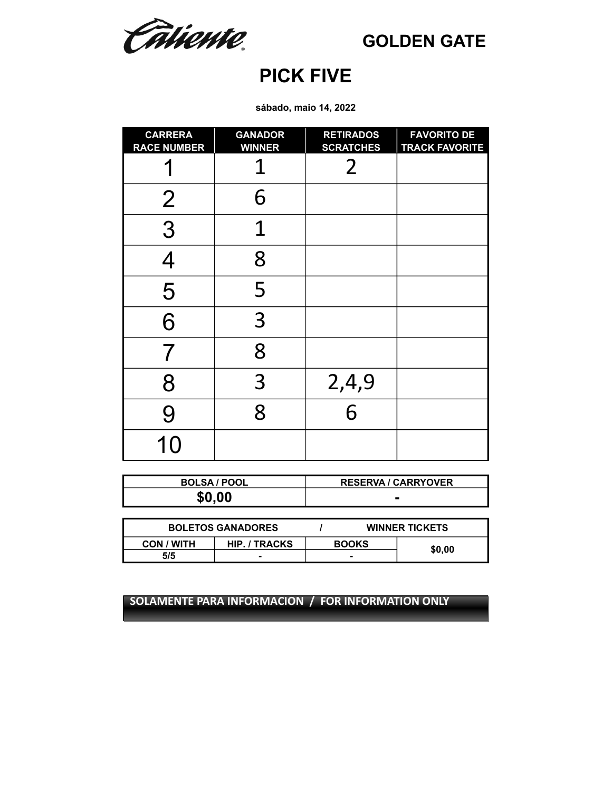Câtiente

**GOLDEN GATE**

## **PICK FIVE**

**sábado, maio 14, 2022**

| <b>CARRERA</b><br><b>RACE NUMBER</b> | <b>GANADOR</b><br><b>WINNER</b> | <b>RETIRADOS</b><br><b>SCRATCHES</b> | <b>FAVORITO DE</b><br><b>TRACK FAVORITE</b> |
|--------------------------------------|---------------------------------|--------------------------------------|---------------------------------------------|
|                                      |                                 | 2                                    |                                             |
| $\overline{2}$                       | 6                               |                                      |                                             |
| 3                                    | 1                               |                                      |                                             |
|                                      | 8                               |                                      |                                             |
| 5                                    | 5                               |                                      |                                             |
| 6                                    | 3                               |                                      |                                             |
| 7                                    | 8                               |                                      |                                             |
| 8                                    | 3                               | 2,4,9                                |                                             |
| 9                                    | 8                               | 6                                    |                                             |
| 10                                   |                                 |                                      |                                             |

| <b>BOLSA / POOL</b> | <b>RESERVA / CARRYOVER</b> |
|---------------------|----------------------------|
| \$0.00              |                            |

| <b>BOLETOS GANADORES</b> |                      | <b>WINNER TICKETS</b> |  |        |
|--------------------------|----------------------|-----------------------|--|--------|
| CON / WITH               | <b>HIP. / TRACKS</b> | <b>BOOKS</b>          |  |        |
| 5/5                      |                      |                       |  | \$0.00 |
|                          |                      |                       |  |        |

**SOLAMENTE PARA INFORMACION / FOR INFORMATION ONLY**